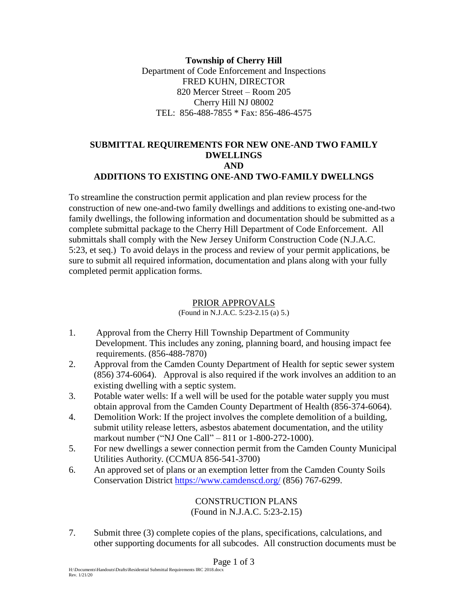**Township of Cherry Hill** Department of Code Enforcement and Inspections FRED KUHN, DIRECTOR 820 Mercer Street – Room 205 Cherry Hill NJ 08002 TEL: 856-488-7855 \* Fax: 856-486-4575

## **SUBMITTAL REQUIREMENTS FOR NEW ONE-AND TWO FAMILY DWELLINGS AND ADDITIONS TO EXISTING ONE-AND TWO-FAMILY DWELLNGS**

To streamline the construction permit application and plan review process for the construction of new one-and-two family dwellings and additions to existing one-and-two family dwellings, the following information and documentation should be submitted as a complete submittal package to the Cherry Hill Department of Code Enforcement. All submittals shall comply with the New Jersey Uniform Construction Code (N.J.A.C. 5:23, et seq.) To avoid delays in the process and review of your permit applications, be sure to submit all required information, documentation and plans along with your fully completed permit application forms.

### PRIOR APPROVALS

(Found in N.J.A.C. 5:23-2.15 (a) 5.)

- 1. Approval from the Cherry Hill Township Department of Community Development. This includes any zoning, planning board, and housing impact fee requirements. (856-488-7870)
- 2. Approval from the Camden County Department of Health for septic sewer system (856) 374-6064). Approval is also required if the work involves an addition to an existing dwelling with a septic system.
- 3. Potable water wells: If a well will be used for the potable water supply you must obtain approval from the Camden County Department of Health (856-374-6064).
- 4. Demolition Work: If the project involves the complete demolition of a building, submit utility release letters, asbestos abatement documentation, and the utility markout number ("NJ One Call" – 811 or 1-800-272-1000).
- 5. For new dwellings a sewer connection permit from the Camden County Municipal Utilities Authority. (CCMUA 856-541-3700)
- 6. An approved set of plans or an exemption letter from the Camden County Soils Conservation District <https://www.camdenscd.org/> (856) 767-6299.

CONSTRUCTION PLANS (Found in N.J.A.C. 5:23-2.15)

7. Submit three (3) complete copies of the plans, specifications, calculations, and other supporting documents for all subcodes. All construction documents must be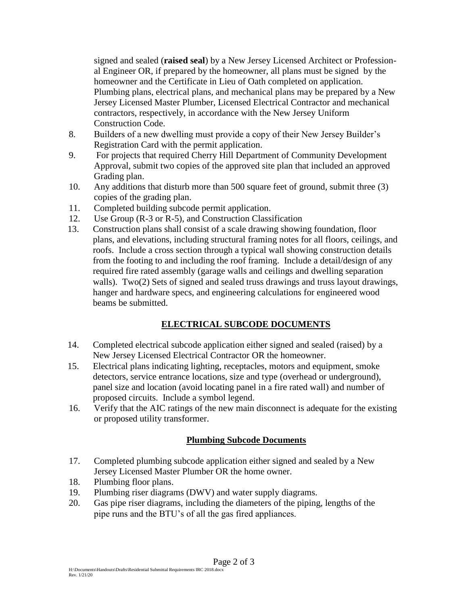signed and sealed (**raised seal**) by a New Jersey Licensed Architect or Professional Engineer OR, if prepared by the homeowner, all plans must be signed by the homeowner and the Certificate in Lieu of Oath completed on application. Plumbing plans, electrical plans, and mechanical plans may be prepared by a New Jersey Licensed Master Plumber, Licensed Electrical Contractor and mechanical contractors, respectively, in accordance with the New Jersey Uniform Construction Code.

- 8. Builders of a new dwelling must provide a copy of their New Jersey Builder's Registration Card with the permit application.
- 9. For projects that required Cherry Hill Department of Community Development Approval, submit two copies of the approved site plan that included an approved Grading plan.
- 10. Any additions that disturb more than 500 square feet of ground, submit three (3) copies of the grading plan.
- 11. Completed building subcode permit application.
- 12. Use Group (R-3 or R-5), and Construction Classification
- 13. Construction plans shall consist of a scale drawing showing foundation, floor plans, and elevations, including structural framing notes for all floors, ceilings, and roofs. Include a cross section through a typical wall showing construction details from the footing to and including the roof framing. Include a detail/design of any required fire rated assembly (garage walls and ceilings and dwelling separation walls). Two(2) Sets of signed and sealed truss drawings and truss layout drawings, hanger and hardware specs, and engineering calculations for engineered wood beams be submitted.

# **ELECTRICAL SUBCODE DOCUMENTS**

- 14. Completed electrical subcode application either signed and sealed (raised) by a New Jersey Licensed Electrical Contractor OR the homeowner.
- 15. Electrical plans indicating lighting, receptacles, motors and equipment, smoke detectors, service entrance locations, size and type (overhead or underground), panel size and location (avoid locating panel in a fire rated wall) and number of proposed circuits. Include a symbol legend.
- 16. Verify that the AIC ratings of the new main disconnect is adequate for the existing or proposed utility transformer.

### **Plumbing Subcode Documents**

- 17. Completed plumbing subcode application either signed and sealed by a New Jersey Licensed Master Plumber OR the home owner.
- 18. Plumbing floor plans.
- 19. Plumbing riser diagrams (DWV) and water supply diagrams.
- 20. Gas pipe riser diagrams, including the diameters of the piping, lengths of the pipe runs and the BTU's of all the gas fired appliances.